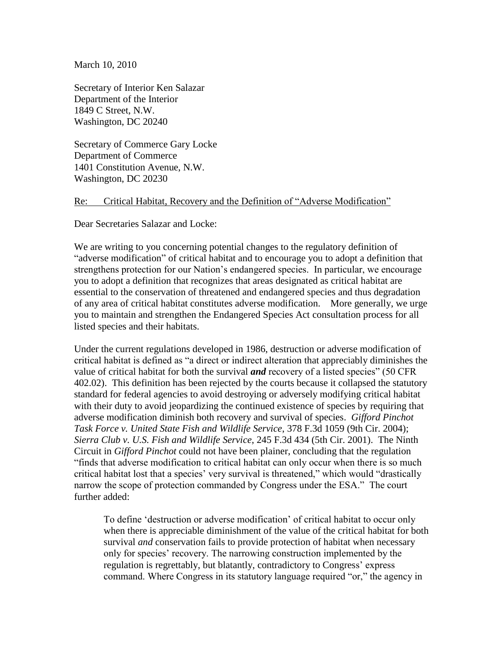March 10, 2010

Secretary of Interior Ken Salazar Department of the Interior 1849 C Street, N.W. Washington, DC 20240

Secretary of Commerce Gary Locke Department of Commerce 1401 Constitution Avenue, N.W. Washington, DC 20230

## Re: Critical Habitat, Recovery and the Definition of "Adverse Modification"

Dear Secretaries Salazar and Locke:

We are writing to you concerning potential changes to the regulatory definition of "adverse modification" of critical habitat and to encourage you to adopt a definition that strengthens protection for our Nation"s endangered species. In particular, we encourage you to adopt a definition that recognizes that areas designated as critical habitat are essential to the conservation of threatened and endangered species and thus degradation of any area of critical habitat constitutes adverse modification. More generally, we urge you to maintain and strengthen the Endangered Species Act consultation process for all listed species and their habitats.

Under the current regulations developed in 1986, destruction or adverse modification of critical habitat is defined as "a direct or indirect alteration that appreciably diminishes the value of critical habitat for both the survival *and* recovery of a listed species" (50 CFR 402.02). This definition has been rejected by the courts because it collapsed the statutory standard for federal agencies to avoid destroying or adversely modifying critical habitat with their duty to avoid jeopardizing the continued existence of species by requiring that adverse modification diminish both recovery and survival of species. *Gifford Pinchot Task Force v. United State Fish and Wildlife Service*, 378 F.3d 1059 (9th Cir. 2004); *Sierra Club v. U.S. Fish and Wildlife Service*, 245 F.3d 434 (5th Cir. 2001). The Ninth Circuit in *Gifford Pinchot* could not have been plainer, concluding that the regulation "finds that adverse modification to critical habitat can only occur when there is so much critical habitat lost that a species' very survival is threatened," which would "drastically narrow the scope of protection commanded by Congress under the ESA." The court further added:

To define "destruction or adverse modification" of critical habitat to occur only when there is appreciable diminishment of the value of the critical habitat for both survival *and* conservation fails to provide protection of habitat when necessary only for species" recovery. The narrowing construction implemented by the regulation is regrettably, but blatantly, contradictory to Congress' express command. Where Congress in its statutory language required "or," the agency in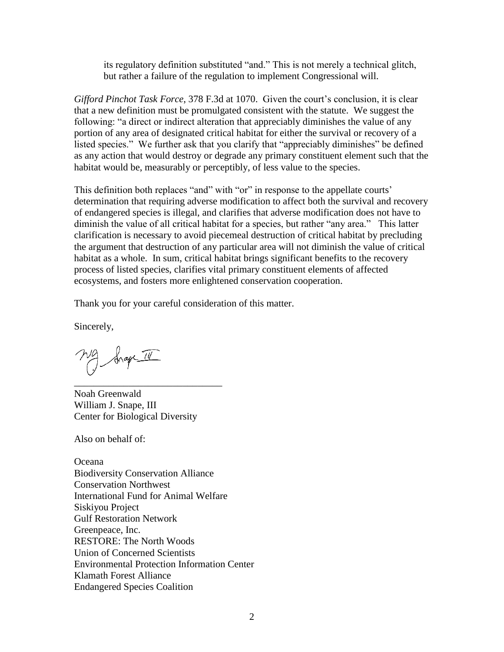its regulatory definition substituted "and." This is not merely a technical glitch, but rather a failure of the regulation to implement Congressional will.

*Gifford Pinchot Task Force*, 378 F.3d at 1070. Given the court's conclusion, it is clear that a new definition must be promulgated consistent with the statute. We suggest the following: "a direct or indirect alteration that appreciably diminishes the value of any portion of any area of designated critical habitat for either the survival or recovery of a listed species." We further ask that you clarify that "appreciably diminishes" be defined as any action that would destroy or degrade any primary constituent element such that the habitat would be, measurably or perceptibly, of less value to the species.

This definition both replaces "and" with "or" in response to the appellate courts' determination that requiring adverse modification to affect both the survival and recovery of endangered species is illegal, and clarifies that adverse modification does not have to diminish the value of all critical habitat for a species, but rather "any area." This latter clarification is necessary to avoid piecemeal destruction of critical habitat by precluding the argument that destruction of any particular area will not diminish the value of critical habitat as a whole. In sum, critical habitat brings significant benefits to the recovery process of listed species, clarifies vital primary constituent elements of affected ecosystems, and fosters more enlightened conservation cooperation.

Thank you for your careful consideration of this matter.

Sincerely,

frage II

Noah Greenwald William J. Snape, III Center for Biological Diversity

\_\_\_\_\_\_\_\_\_\_\_\_\_\_\_\_\_\_\_\_\_\_\_\_\_\_\_\_\_\_

Also on behalf of:

**Oceana** Biodiversity Conservation Alliance Conservation Northwest International Fund for Animal Welfare Siskiyou Project Gulf Restoration Network Greenpeace, Inc. RESTORE: The North Woods Union of Concerned Scientists Environmental Protection Information Center Klamath Forest Alliance Endangered Species Coalition